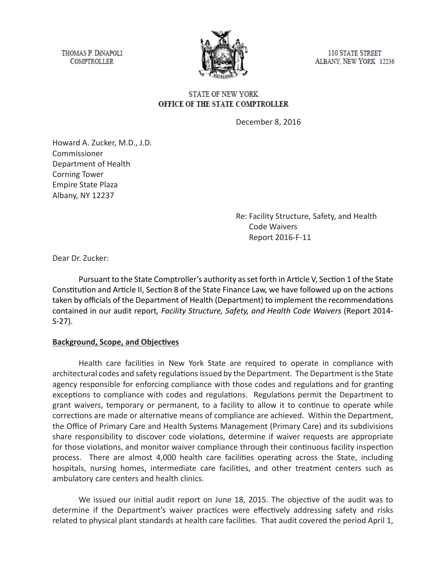THOMAS P. DINAPOLI **COMPTROLLER** 



**110 STATE STREET** ALBANY, NEW YORK 12236

## **STATE OF NEW YORK** OFFICE OF THE STATE COMPTROLLER

December 8, 2016

Howard A. Zucker, M.D., J.D. Commissioner Department of Health Corning Tower Empire State Plaza Albany, NY 12237

> Re: Facility Structure, Safety, and Health Code Waivers Report 2016-F-11

Dear Dr. Zucker:

Pursuant to the State Comptroller's authority as set forth in Article V, Section 1 of the State Constitution and Article II, Section 8 of the State Finance Law, we have followed up on the actions taken by officials of the Department of Health (Department) to implement the recommendations contained in our audit report*, Facility Structure, Safety, and Health Code Waivers* (Report 2014- S*-*27).

### **Background, Scope, and Objectives**

Health care facilities in New York State are required to operate in compliance with architectural codes and safety regulations issued by the Department. The Department is the State agency responsible for enforcing compliance with those codes and regulations and for granting exceptions to compliance with codes and regulations. Regulations permit the Department to grant waivers, temporary or permanent, to a facility to allow it to continue to operate while corrections are made or alternative means of compliance are achieved. Within the Department, the Office of Primary Care and Health Systems Management (Primary Care) and its subdivisions share responsibility to discover code violations, determine if waiver requests are appropriate for those violations, and monitor waiver compliance through their continuous facility inspection process. There are almost 4,000 health care facilities operating across the State, including hospitals, nursing homes, intermediate care facilities, and other treatment centers such as ambulatory care centers and health clinics.

We issued our initial audit report on June 18, 2015. The objective of the audit was to determine if the Department's waiver practices were effectively addressing safety and risks related to physical plant standards at health care facilities. That audit covered the period April 1,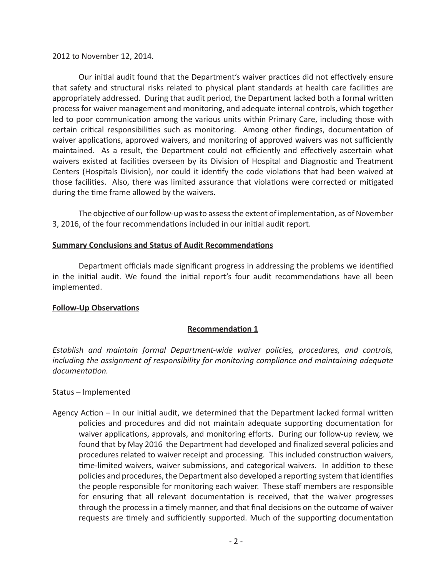#### 2012 to November 12, 2014.

Our initial audit found that the Department's waiver practices did not effectively ensure that safety and structural risks related to physical plant standards at health care facilities are appropriately addressed. During that audit period, the Department lacked both a formal written process for waiver management and monitoring, and adequate internal controls, which together led to poor communication among the various units within Primary Care, including those with certain critical responsibilities such as monitoring. Among other findings, documentation of waiver applications, approved waivers, and monitoring of approved waivers was not sufficiently maintained. As a result, the Department could not efficiently and effectively ascertain what waivers existed at facilities overseen by its Division of Hospital and Diagnostic and Treatment Centers (Hospitals Division), nor could it identify the code violations that had been waived at those facilities. Also, there was limited assurance that violations were corrected or mitigated during the time frame allowed by the waivers.

The objective of our follow-up was to assess the extent of implementation, as of November 3, 2016, of the four recommendations included in our initial audit report.

#### **Summary Conclusions and Status of Audit Recommendations**

Department officials made significant progress in addressing the problems we identified in the initial audit. We found the initial report's four audit recommendations have all been implemented.

### **Follow-Up Observations**

### **Recommendation 1**

*Establish and maintain formal Department-wide waiver policies, procedures, and controls, including the assignment of responsibility for monitoring compliance and maintaining adequate documentation.*

#### Status – Implemented

Agency Action – In our initial audit, we determined that the Department lacked formal written policies and procedures and did not maintain adequate supporting documentation for waiver applications, approvals, and monitoring efforts. During our follow-up review, we found that by May 2016 the Department had developed and finalized several policies and procedures related to waiver receipt and processing. This included construction waivers, time-limited waivers, waiver submissions, and categorical waivers. In addition to these policies and procedures, the Department also developed a reporting system that identifies the people responsible for monitoring each waiver. These staff members are responsible for ensuring that all relevant documentation is received, that the waiver progresses through the process in a timely manner, and that final decisions on the outcome of waiver requests are timely and sufficiently supported. Much of the supporting documentation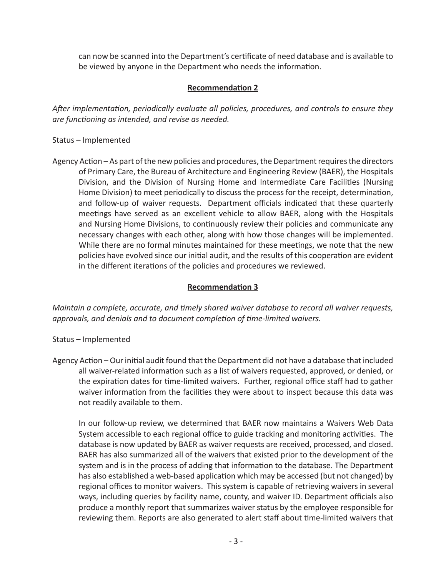can now be scanned into the Department's certificate of need database and is available to be viewed by anyone in the Department who needs the information.

# **Recommendation 2**

*After implementation, periodically evaluate all policies, procedures, and controls to ensure they are functioning as intended, and revise as needed.*

Status – Implemented

Agency Action – As part of the new policies and procedures, the Department requires the directors of Primary Care, the Bureau of Architecture and Engineering Review (BAER), the Hospitals Division, and the Division of Nursing Home and Intermediate Care Facilities (Nursing Home Division) to meet periodically to discuss the process for the receipt, determination, and follow-up of waiver requests. Department officials indicated that these quarterly meetings have served as an excellent vehicle to allow BAER, along with the Hospitals and Nursing Home Divisions, to continuously review their policies and communicate any necessary changes with each other, along with how those changes will be implemented. While there are no formal minutes maintained for these meetings, we note that the new policies have evolved since our initial audit, and the results of this cooperation are evident in the different iterations of the policies and procedures we reviewed.

# **Recommendation 3**

*Maintain a complete, accurate, and timely shared waiver database to record all waiver requests, approvals, and denials and to document completion of time-limited waivers.*

- Status Implemented
- Agency Action Our initial audit found that the Department did not have a database that included all waiver-related information such as a list of waivers requested, approved, or denied, or the expiration dates for time-limited waivers. Further, regional office staff had to gather waiver information from the facilities they were about to inspect because this data was not readily available to them.

In our follow-up review, we determined that BAER now maintains a Waivers Web Data System accessible to each regional office to guide tracking and monitoring activities. The database is now updated by BAER as waiver requests are received, processed, and closed. BAER has also summarized all of the waivers that existed prior to the development of the system and is in the process of adding that information to the database. The Department has also established a web-based application which may be accessed (but not changed) by regional offices to monitor waivers. This system is capable of retrieving waivers in several ways, including queries by facility name, county, and waiver ID. Department officials also produce a monthly report that summarizes waiver status by the employee responsible for reviewing them. Reports are also generated to alert staff about time-limited waivers that